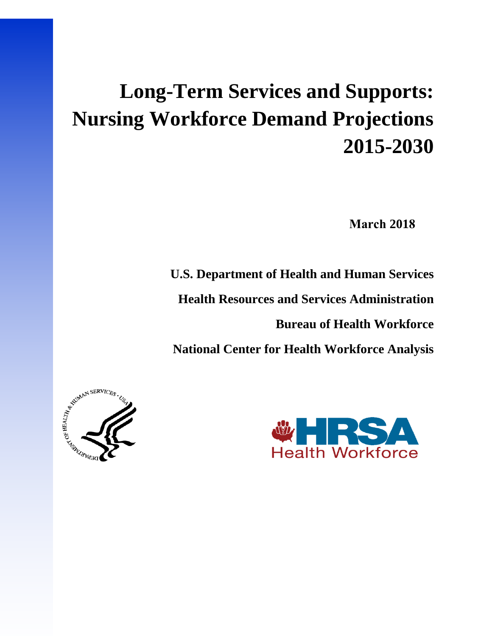# **Long-Term Services and Supports: Nursing Workforce Demand Projections 2015-2030**

**March 2018**

**U.S. Department of Health and Human Services**

**Health Resources and Services Administration**

**Bureau of Health Workforce**

**National Center for Health Workforce Analysis**



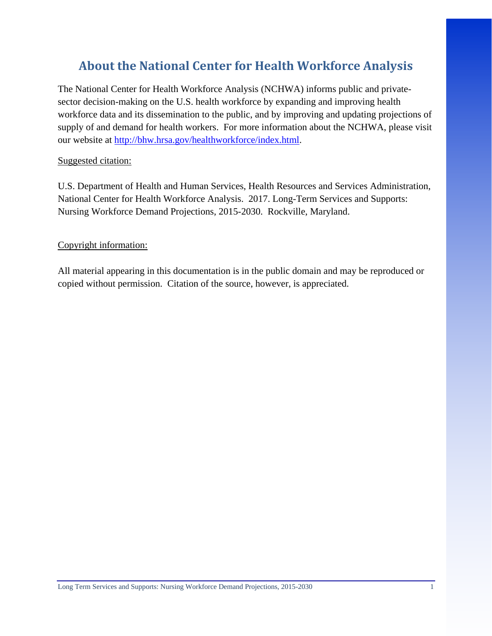# **About the National Center for Health Workforce Analysis**

The National Center for Health Workforce Analysis (NCHWA) informs public and privatesector decision-making on the U.S. health workforce by expanding and improving health workforce data and its dissemination to the public, and by improving and updating projections of supply of and demand for health workers. For more information about the NCHWA, please visit our website at [http://bhw.hrsa.gov/healthworkforce/index.html.](http://bhw.hrsa.gov/healthworkforce/index.html)

#### Suggested citation:

U.S. Department of Health and Human Services, Health Resources and Services Administration, National Center for Health Workforce Analysis. 2017. Long-Term Services and Supports: Nursing Workforce Demand Projections, 2015-2030. Rockville, Maryland.

#### Copyright information:

All material appearing in this documentation is in the public domain and may be reproduced or copied without permission. Citation of the source, however, is appreciated.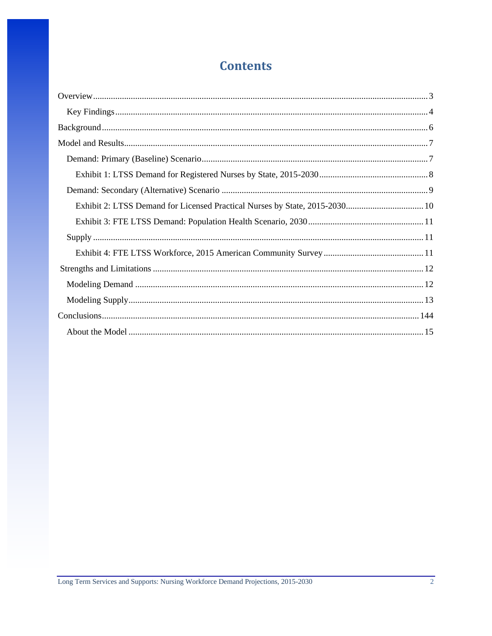# **Contents**

| Exhibit 2: LTSS Demand for Licensed Practical Nurses by State, 2015-2030 10 |
|-----------------------------------------------------------------------------|
|                                                                             |
|                                                                             |
|                                                                             |
|                                                                             |
|                                                                             |
|                                                                             |
|                                                                             |
|                                                                             |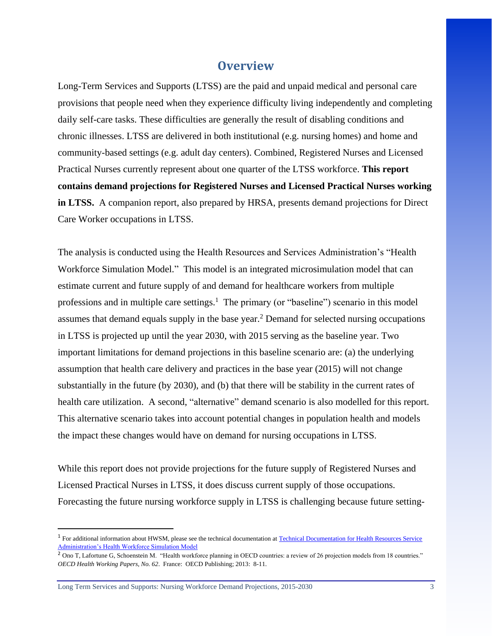## **Overview**

Long-Term Services and Supports (LTSS) are the paid and unpaid medical and personal care provisions that people need when they experience difficulty living independently and completing daily self-care tasks. These difficulties are generally the result of disabling conditions and chronic illnesses. LTSS are delivered in both institutional (e.g. nursing homes) and home and community-based settings (e.g. adult day centers). Combined, Registered Nurses and Licensed Practical Nurses currently represent about one quarter of the LTSS workforce. **This report contains demand projections for Registered Nurses and Licensed Practical Nurses working in LTSS.** A companion report, also prepared by HRSA, presents demand projections for Direct Care Worker occupations in LTSS.

The analysis is conducted using the Health Resources and Services Administration's "Health Workforce Simulation Model." This model is an integrated microsimulation model that can estimate current and future supply of and demand for healthcare workers from multiple professions and in multiple care settings.<sup>1</sup> The primary (or "baseline") scenario in this model assumes that demand equals supply in the base year.<sup>2</sup> Demand for selected nursing occupations in LTSS is projected up until the year 2030, with 2015 serving as the baseline year. Two important limitations for demand projections in this baseline scenario are: (a) the underlying assumption that health care delivery and practices in the base year (2015) will not change substantially in the future (by 2030), and (b) that there will be stability in the current rates of health care utilization. A second, "alternative" demand scenario is also modelled for this report. This alternative scenario takes into account potential changes in population health and models the impact these changes would have on demand for nursing occupations in LTSS.

While this report does not provide projections for the future supply of Registered Nurses and Licensed Practical Nurses in LTSS, it does discuss current supply of those occupations. Forecasting the future nursing workforce supply in LTSS is challenging because future setting-

Long Term Services and Supports: Nursing Workforce Demand Projections, 2015-2030 3

 $\overline{\phantom{a}}$ 

<sup>&</sup>lt;sup>1</sup> For additional information about HWSM, please see the technical documentation at Technical Documentation for Health Resources Service [Administration's Health Workforce Simulation Model](https://bhw.hrsa.gov/sites/default/files/bhw/nchwa/projections/NCHWA_HWSM_Technical_Report_to_DEA.pdf)

<sup>2</sup> Ono T, Lafortune G, Schoenstein M. "Health workforce planning in OECD countries: a review of 26 projection models from 18 countries." *OECD Health Working Papers, No. 62*. France: OECD Publishing; 2013: 8-11.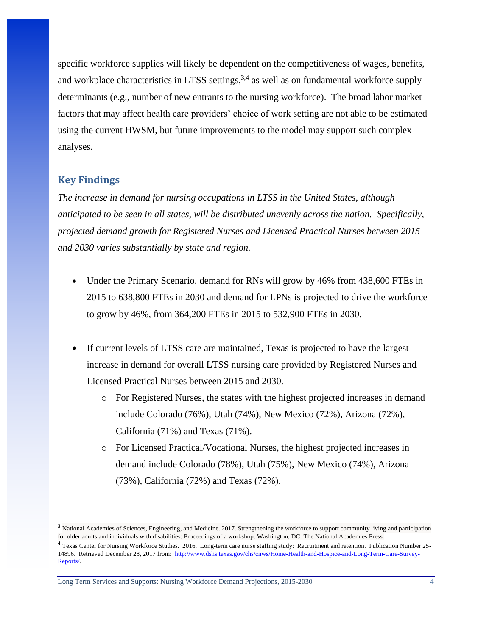specific workforce supplies will likely be dependent on the competitiveness of wages, benefits, and workplace characteristics in LTSS settings,  $3,4$  as well as on fundamental workforce supply determinants (e.g., number of new entrants to the nursing workforce). The broad labor market factors that may affect health care providers' choice of work setting are not able to be estimated using the current HWSM, but future improvements to the model may support such complex analyses.

#### <span id="page-4-0"></span>**Key Findings**

 $\overline{\phantom{a}}$ 

*The increase in demand for nursing occupations in LTSS in the United States, although anticipated to be seen in all states, will be distributed unevenly across the nation. Specifically, projected demand growth for Registered Nurses and Licensed Practical Nurses between 2015 and 2030 varies substantially by state and region.*

- Under the Primary Scenario, demand for RNs will grow by 46% from 438,600 FTEs in 2015 to 638,800 FTEs in 2030 and demand for LPNs is projected to drive the workforce to grow by 46%, from 364,200 FTEs in 2015 to 532,900 FTEs in 2030.
- If current levels of LTSS care are maintained, Texas is projected to have the largest increase in demand for overall LTSS nursing care provided by Registered Nurses and Licensed Practical Nurses between 2015 and 2030.
	- o For Registered Nurses, the states with the highest projected increases in demand include Colorado (76%), Utah (74%), New Mexico (72%), Arizona (72%), California (71%) and Texas (71%).
	- o For Licensed Practical/Vocational Nurses, the highest projected increases in demand include Colorado (78%), Utah (75%), New Mexico (74%), Arizona (73%), California (72%) and Texas (72%).

<sup>&</sup>lt;sup>3</sup> National Academies of Sciences, Engineering, and Medicine. 2017. Strengthening the workforce to support community living and participation for older adults and individuals with disabilities: Proceedings of a workshop. Washington, DC: The National Academies Press.

<sup>&</sup>lt;sup>4</sup> Texas Center for Nursing Workforce Studies. 2016. Long-term care nurse staffing study: Recruitment and retention. Publication Number 25-14896. Retrieved December 28, 2017 from: [http://www.dshs.texas.gov/chs/cnws/Home-Health-and-Hospice-and-Long-Term-Care-Survey-](http://www.dshs.texas.gov/chs/cnws/Home-Health-and-Hospice-and-Long-Term-Care-Survey-Reports/)[Reports/.](http://www.dshs.texas.gov/chs/cnws/Home-Health-and-Hospice-and-Long-Term-Care-Survey-Reports/)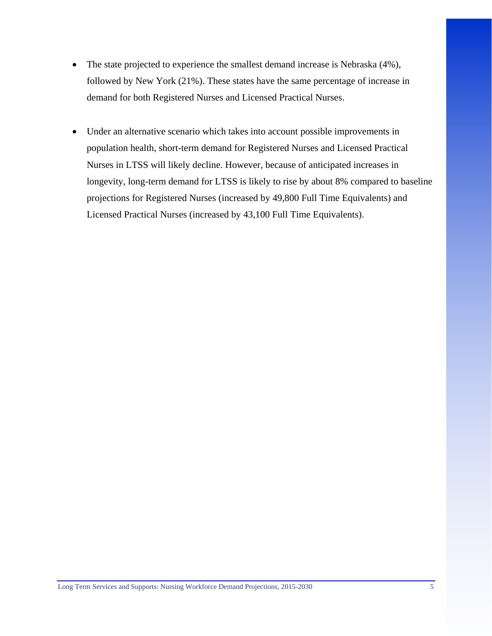- The state projected to experience the smallest demand increase is Nebraska (4%), followed by New York (21%). These states have the same percentage of increase in demand for both Registered Nurses and Licensed Practical Nurses.
- <span id="page-5-0"></span>• Under an alternative scenario which takes into account possible improvements in population health, short-term demand for Registered Nurses and Licensed Practical Nurses in LTSS will likely decline. However, because of anticipated increases in longevity, long-term demand for LTSS is likely to rise by about 8% compared to baseline projections for Registered Nurses (increased by 49,800 Full Time Equivalents) and Licensed Practical Nurses (increased by 43,100 Full Time Equivalents).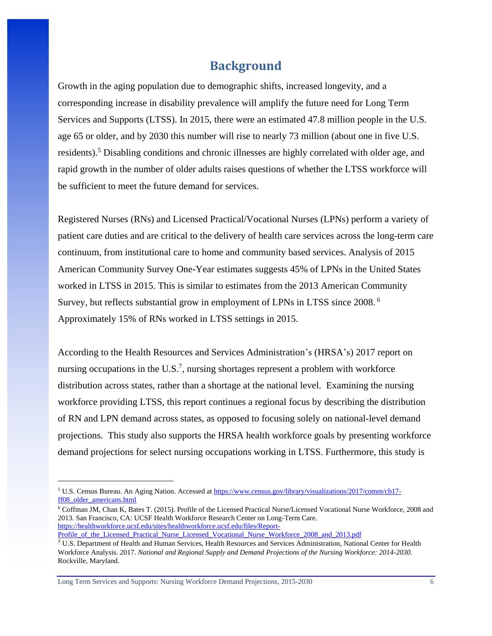## **Background**

Growth in the aging population due to demographic shifts, increased longevity, and a corresponding increase in disability prevalence will amplify the future need for Long Term Services and Supports (LTSS). In 2015, there were an estimated 47.8 million people in the U.S. age 65 or older, and by 2030 this number will rise to nearly 73 million (about one in five U.S. residents).<sup>5</sup> Disabling conditions and chronic illnesses are highly correlated with older age, and rapid growth in the number of older adults raises questions of whether the LTSS workforce will be sufficient to meet the future demand for services.

Registered Nurses (RNs) and Licensed Practical/Vocational Nurses (LPNs) perform a variety of patient care duties and are critical to the delivery of health care services across the long-term care continuum, from institutional care to home and community based services. Analysis of 2015 American Community Survey One-Year estimates suggests 45% of LPNs in the United States worked in LTSS in 2015. This is similar to estimates from the 2013 American Community Survey, but reflects substantial grow in employment of LPNs in LTSS since 2008. <sup>6</sup> Approximately 15% of RNs worked in LTSS settings in 2015.

According to the Health Resources and Services Administration's (HRSA's) 2017 report on nursing occupations in the U.S.<sup>7</sup>, nursing shortages represent a problem with workforce distribution across states, rather than a shortage at the national level. Examining the nursing workforce providing LTSS, this report continues a regional focus by describing the distribution of RN and LPN demand across states, as opposed to focusing solely on national-level demand projections. This study also supports the HRSA health workforce goals by presenting workforce demand projections for select nursing occupations working in LTSS. Furthermore, this study is

Long Term Services and Supports: Nursing Workforce Demand Projections, 2015-2030 6

l

<sup>5</sup> U.S. Census Bureau. An Aging Nation. Accessed at [https://www.census.gov/library/visualizations/2017/comm/cb17](https://www.census.gov/library/visualizations/2017/comm/cb17-ff08_older_americans.html) [ff08\\_older\\_americans.html](https://www.census.gov/library/visualizations/2017/comm/cb17-ff08_older_americans.html)

<sup>6</sup> Coffman JM, Chan K, Bates T. (2015). Profile of the Licensed Practical Nurse/Licensed Vocational Nurse Workforce, 2008 and 2013. San Francisco, CA: UCSF Health Workforce Research Center on Long-Term Care. [https://healthworkforce.ucsf.edu/sites/healthworkforce.ucsf.edu/files/Report-](https://healthworkforce.ucsf.edu/sites/healthworkforce.ucsf.edu/files/Report-Profile_of_the_Licensed_Practical_Nurse_Licensed_Vocational_Nurse_Workforce_2008_and_2013.pdf)

[Profile\\_of\\_the\\_Licensed\\_Practical\\_Nurse\\_Licensed\\_Vocational\\_Nurse\\_Workforce\\_2008\\_and\\_2013.pdf](https://healthworkforce.ucsf.edu/sites/healthworkforce.ucsf.edu/files/Report-Profile_of_the_Licensed_Practical_Nurse_Licensed_Vocational_Nurse_Workforce_2008_and_2013.pdf)

<sup>7</sup> U.S. Department of Health and Human Services, Health Resources and Services Administration, National Center for Health Workforce Analysis. 2017. *National and Regional Supply and Demand Projections of the Nursing Workforce: 2014-2030.* Rockville, Maryland.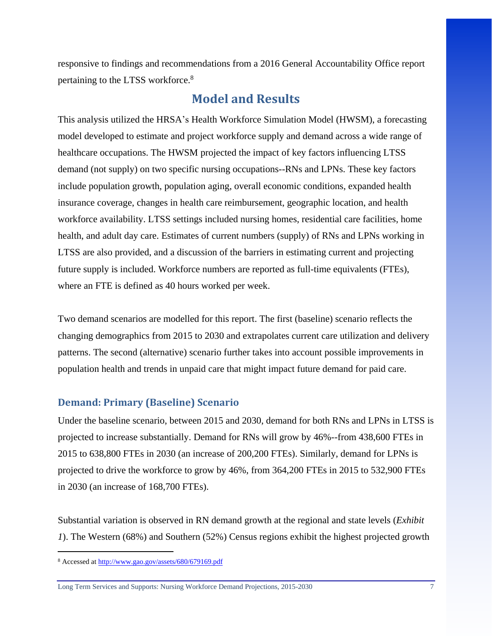responsive to findings and recommendations from a 2016 General Accountability Office report pertaining to the LTSS workforce.<sup>8</sup>

## **Model and Results**

<span id="page-7-0"></span>This analysis utilized the HRSA's Health Workforce Simulation Model (HWSM), a forecasting model developed to estimate and project workforce supply and demand across a wide range of healthcare occupations. The HWSM projected the impact of key factors influencing LTSS demand (not supply) on two specific nursing occupations--RNs and LPNs. These key factors include population growth, population aging, overall economic conditions, expanded health insurance coverage, changes in health care reimbursement, geographic location, and health workforce availability. LTSS settings included nursing homes, residential care facilities, home health, and adult day care. Estimates of current numbers (supply) of RNs and LPNs working in LTSS are also provided, and a discussion of the barriers in estimating current and projecting future supply is included. Workforce numbers are reported as full-time equivalents (FTEs), where an FTE is defined as 40 hours worked per week.

Two demand scenarios are modelled for this report. The first (baseline) scenario reflects the changing demographics from 2015 to 2030 and extrapolates current care utilization and delivery patterns. The second (alternative) scenario further takes into account possible improvements in population health and trends in unpaid care that might impact future demand for paid care.

#### <span id="page-7-1"></span>**Demand: Primary (Baseline) Scenario**

Under the baseline scenario, between 2015 and 2030, demand for both RNs and LPNs in LTSS is projected to increase substantially. Demand for RNs will grow by 46%--from 438,600 FTEs in 2015 to 638,800 FTEs in 2030 (an increase of 200,200 FTEs). Similarly, demand for LPNs is projected to drive the workforce to grow by 46%, from 364,200 FTEs in 2015 to 532,900 FTEs in 2030 (an increase of 168,700 FTEs).

Substantial variation is observed in RN demand growth at the regional and state levels (*Exhibit 1*). The Western (68%) and Southern (52%) Census regions exhibit the highest projected growth

 $\overline{\phantom{a}}$ 

<sup>8</sup> Accessed at<http://www.gao.gov/assets/680/679169.pdf>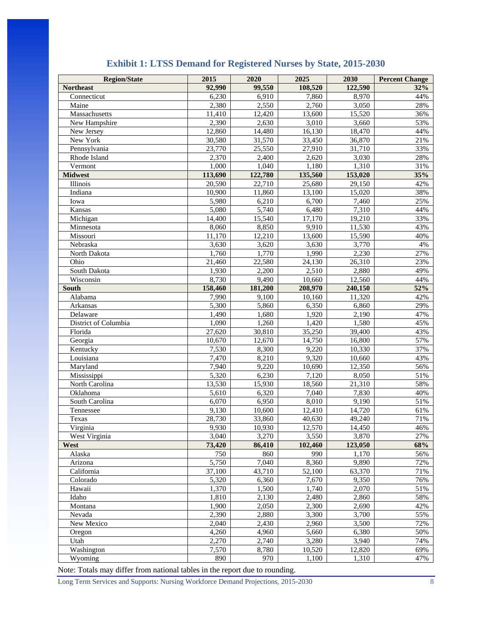<span id="page-8-0"></span>

| <b>Region/State</b>  | 2015    | 2020    | 2025    | 2030    | <b>Percent Change</b> |
|----------------------|---------|---------|---------|---------|-----------------------|
| <b>Northeast</b>     | 92,990  | 99,550  | 108,520 | 122,590 | 32%                   |
| Connecticut          | 6,230   | 6,910   | 7,860   | 8,970   | 44%                   |
| Maine                | 2,380   | 2,550   | 2,760   | 3,050   | 28%                   |
| Massachusetts        | 11,410  | 12,420  | 13,600  | 15,520  | 36%                   |
| New Hampshire        | 2,390   | 2,630   | 3,010   | 3,660   | 53%                   |
| New Jersey           | 12,860  | 14,480  | 16,130  | 18,470  | 44%                   |
| New York             | 30,580  | 31,570  | 33,450  | 36,870  | 21%                   |
| Pennsylvania         | 23,770  | 25,550  | 27,910  | 31,710  | 33%                   |
| Rhode Island         | 2,370   | 2,400   | 2,620   | 3,030   | 28%                   |
| Vermont              | 1,000   | 1,040   | 1,180   | 1,310   | 31%                   |
| <b>Midwest</b>       | 113,690 | 122,780 | 135,560 | 153,020 | 35%                   |
| Illinois             | 20,590  | 22,710  | 25,680  | 29,150  | 42%                   |
| Indiana              | 10,900  | 11,860  | 13,100  | 15,020  | 38%                   |
| Iowa                 | 5,980   | 6,210   | 6,700   | 7,460   | 25%                   |
| Kansas               | 5,080   | 5,740   | 6,480   | 7,310   | 44%                   |
| Michigan             | 14,400  | 15,540  | 17,170  | 19,210  | 33%                   |
| Minnesota            | 8,060   | 8,850   | 9,910   | 11,530  | 43%                   |
| Missouri             | 11,170  | 12,210  | 13,600  | 15,590  | 40%                   |
| Nebraska             | 3,630   | 3,620   | 3,630   | 3,770   | 4%                    |
| North Dakota         | 1,760   | 1,770   | 1,990   | 2,230   | 27%                   |
| Ohio                 | 21,460  | 22,580  | 24,130  | 26,310  | 23%                   |
| South Dakota         | 1,930   | 2,200   | 2,510   | 2,880   | 49%                   |
| Wisconsin            | 8,730   | 9,490   | 10,660  | 12,560  | 44%                   |
| <b>South</b>         | 158,460 | 181,200 | 208,970 | 240,150 | 52%                   |
| Alabama              | 7,990   | 9,100   | 10,160  | 11,320  | 42%                   |
| Arkansas             | 5,300   | 5,860   | 6,350   | 6,860   | 29%                   |
| Delaware             | 1,490   | 1,680   | 1,920   | 2,190   | 47%                   |
| District of Columbia | 1,090   | 1,260   | 1,420   | 1,580   | 45%                   |
| Florida              | 27,620  | 30,810  | 35,250  | 39,400  | 43%                   |
| Georgia              | 10,670  | 12,670  | 14,750  | 16,800  | 57%                   |
| Kentucky             | 7,530   | 8,300   | 9,220   | 10,330  | 37%                   |
| Louisiana            | 7,470   | 8,210   | 9,320   | 10,660  | 43%                   |
| Maryland             | 7,940   | 9,220   | 10,690  | 12,350  | 56%                   |
| Mississippi          | 5,320   | 6,230   | 7,120   | 8,050   | 51%                   |
| North Carolina       | 13,530  | 15,930  | 18,560  | 21,310  | 58%                   |
| Oklahoma             | 5,610   | 6,320   | 7,040   | 7,830   | 40%                   |
| South Carolina       | 6,070   | 6,950   | 8,010   | 9,190   | 51%                   |
| Tennessee            | 9,130   | 10,600  | 12,410  | 14,720  | 61%                   |
| Texas                | 28,730  | 33,860  | 40,630  | 49,240  | 71%                   |
| Virginia             | 9,930   | 10,930  | 12,570  | 14,450  | 46%                   |
| West Virginia        | 3,040   | 3,270   | 3,550   | 3,870   | 27%                   |
| West                 | 73,420  | 86,410  | 102,460 | 123,050 | 68%                   |
| Alaska               | 750     | 860     | 990     | 1,170   | 56%                   |
| Arizona              | 5,750   | 7,040   | 8,360   | 9,890   | 72%                   |
| California           | 37,100  | 43,710  | 52,100  | 63,370  | 71%                   |
| Colorado             | 5,320   | 6,360   | 7,670   | 9,350   | 76%                   |
| Hawaii               | 1,370   | 1,500   | 1,740   | 2,070   | 51%                   |
| Idaho                | 1,810   | 2,130   | 2,480   | 2,860   | 58%                   |
| Montana              | 1,900   | 2,050   | 2,300   | 2,690   | 42%                   |
| Nevada               | 2,390   | 2,880   | 3,300   | 3,700   | 55%                   |
| New Mexico           | 2,040   | 2,430   | 2,960   | 3,500   | 72%                   |
| Oregon               | 4,260   | 4,960   | 5,660   | 6,380   | 50%                   |
| Utah                 | 2,270   | 2,740   | 3,280   | 3,940   | 74%                   |
| Washington           | 7,570   | 8,780   | 10,520  | 12,820  | 69%                   |
| Wyoming              | 890     | 970     | 1,100   | 1,310   | 47%                   |
|                      |         |         |         |         |                       |

#### **Exhibit 1: LTSS Demand for Registered Nurses by State, 2015-2030**

Note: Totals may differ from national tables in the report due to rounding.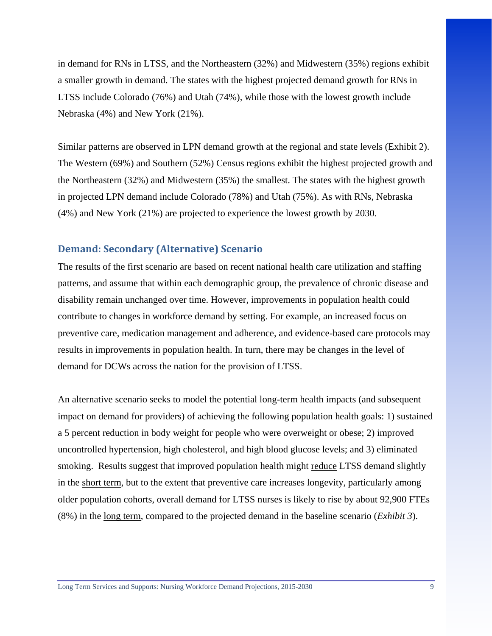in demand for RNs in LTSS, and the Northeastern (32%) and Midwestern (35%) regions exhibit a smaller growth in demand. The states with the highest projected demand growth for RNs in LTSS include Colorado (76%) and Utah (74%), while those with the lowest growth include Nebraska (4%) and New York (21%).

Similar patterns are observed in LPN demand growth at the regional and state levels (Exhibit 2). The Western (69%) and Southern (52%) Census regions exhibit the highest projected growth and the Northeastern (32%) and Midwestern (35%) the smallest. The states with the highest growth in projected LPN demand include Colorado (78%) and Utah (75%). As with RNs, Nebraska (4%) and New York (21%) are projected to experience the lowest growth by 2030.

#### <span id="page-9-0"></span>**Demand: Secondary (Alternative) Scenario**

The results of the first scenario are based on recent national health care utilization and staffing patterns, and assume that within each demographic group, the prevalence of chronic disease and disability remain unchanged over time. However, improvements in population health could contribute to changes in workforce demand by setting. For example, an increased focus on preventive care, medication management and adherence, and evidence-based care protocols may results in improvements in population health. In turn, there may be changes in the level of demand for DCWs across the nation for the provision of LTSS.

An alternative scenario seeks to model the potential long-term health impacts (and subsequent impact on demand for providers) of achieving the following population health goals: 1) sustained a 5 percent reduction in body weight for people who were overweight or obese; 2) improved uncontrolled hypertension, high cholesterol, and high blood glucose levels; and 3) eliminated smoking. Results suggest that improved population health might reduce LTSS demand slightly in the short term, but to the extent that preventive care increases longevity, particularly among older population cohorts, overall demand for LTSS nurses is likely to rise by about 92,900 FTEs (8%) in the long term, compared to the projected demand in the baseline scenario (*Exhibit 3*).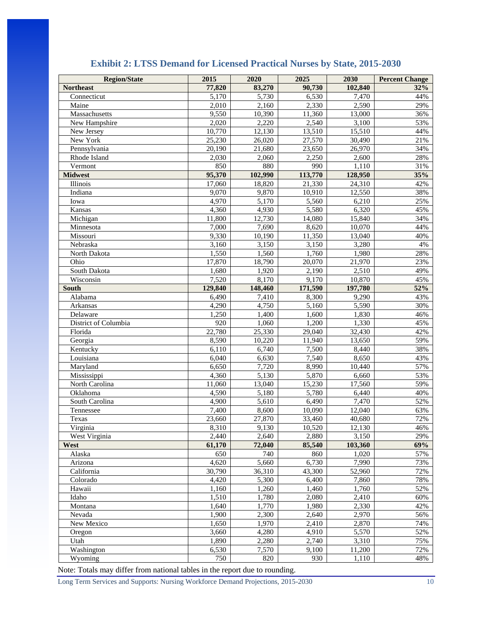<span id="page-10-0"></span>

| <b>Northeast</b><br>5,170<br>5,730<br>6,530<br>7,470<br>44%<br>Connecticut<br>2,010<br>$\overline{2,160}$<br>2,330<br>2,590<br>29%<br>Maine<br>9,550<br>10,390<br>11,360<br>13,000<br>Massachusetts<br>36%<br>2,020<br>2,220<br>2,540<br>53%<br>New Hampshire<br>3,100<br>10,770<br>12,130<br>13,510<br>15,510<br>44%<br>New Jersey<br>New York<br>25,230<br>26,020<br>27,570<br>30,490<br>21%<br>20,190<br>21,680<br>23,650<br>26,970<br>34%<br>Pennsylvania<br>Rhode Island<br>2,030<br>2,060<br>2,250<br>2,600<br>28%<br>850<br>880<br>990<br>31%<br>Vermont<br>1,110<br><b>Midwest</b><br>95,370<br>113,770<br>128,950<br>35%<br>102,990<br>17,060<br>18,820<br>21,330<br>24,310<br>Illinois<br>42%<br>9,070<br>9,870<br>10,910<br>12,550<br>38%<br>Indiana<br>4,970<br>5,170<br>5,560<br>6,210<br>25%<br>Iowa<br>Kansas<br>4,360<br>5,580<br>6,320<br>4,930<br>45%<br>11,800<br>Michigan<br>12,730<br>14,080<br>15,840<br>34%<br>7,000<br>7,690<br>8,620<br>10,070<br>44%<br>Minnesota<br>9,330<br>10,190<br>11,350<br>13,040<br>40%<br>Missouri<br>3,160<br>3,150<br>3,150<br>3,280<br>$4\%$<br>Nebraska<br>1,560<br>North Dakota<br>1,550<br>1,760<br>1,980<br>28%<br>17,870<br>Ohio<br>18,790<br>20,070<br>21,970<br>23%<br>1,680<br>1,920<br>South Dakota<br>2,190<br>2,510<br>49%<br>7,520<br>9,170<br>8,170<br>10,870<br>45%<br>Wisconsin<br>129,840<br>148,460<br>171,590<br>197,780<br>52%<br><b>South</b><br>6,490<br>7,410<br>8,300<br>9,290<br>43%<br>Alabama<br>4,290<br>5,160<br>5,590<br>Arkansas<br>4,750<br>30%<br>1,250<br>1,400<br>1,600<br>1,830<br>46%<br>Delaware<br>920<br>1,060<br>1,200<br>District of Columbia<br>1,330<br>45%<br>22,780<br>25,330<br>29,040<br>32,430<br>42%<br>Florida<br>8,590<br>10,220<br>11,940<br>13,650<br>59%<br>Georgia<br>Kentucky<br>6,110<br>6,740<br>7,500<br>38%<br>8,440<br>Louisiana<br>6,040<br>6,630<br>7,540<br>8,650<br>43%<br>6,650<br>7,720<br>8,990<br>57%<br>Maryland<br>10,440<br>4,360<br>5,130<br>5,870<br>6,660<br>53%<br>Mississippi<br>59%<br>North Carolina<br>11,060<br>13,040<br>15,230<br>17,560<br>4,590<br>5,180<br>5,780<br>6,440<br>40%<br>Oklahoma<br>South Carolina<br>4,900<br>5,610<br>6,490<br>7,470<br>52%<br>7,400<br>8,600<br>10,090<br>12,040<br>Tennessee<br>63%<br>40,680<br>72%<br>Texas<br>23,660<br>27,870<br>33,460<br>8,310<br>10,520<br>Virginia<br>9,130<br>12,130<br>46%<br>West Virginia<br>2,440<br>2,640<br>2,880<br>3,150<br>29%<br>72,040<br>85,540<br>69%<br>West<br>61,170<br>103,360<br>650<br>740<br>860<br>1,020<br>57%<br>Alaska<br>4,620<br>6,730<br>7,990<br>5,660<br>73%<br>Arizona<br>30,790<br>52,960<br>72%<br>California<br>36,310<br>43,300<br>4,420<br>5,300<br>6,400<br>Colorado<br>7,860<br>78%<br>Hawaii<br>1,160<br>1,460<br>52%<br>1,260<br>1,760<br>1,510<br>Idaho<br>1,780<br>2,080<br>2,410<br>60%<br>1,770<br>1,640<br>1,980<br>2,330<br>Montana<br>42%<br>1,900<br>2,300<br>2,640<br>2,970<br>56%<br>Nevada<br>1,650<br>1,970<br>New Mexico<br>2,410<br>2,870<br>74%<br>3,660<br>Oregon<br>4,280<br>4,910<br>5,570<br>52%<br>Utah<br>1,890<br>2,280<br>2,740<br>3,310<br>75%<br>Washington<br>7,570<br>9,100<br>11,200<br>6,530<br>72% | <b>Region/State</b> | 2015   | 2020   | 2025   | 2030    | <b>Percent Change</b> |
|------------------------------------------------------------------------------------------------------------------------------------------------------------------------------------------------------------------------------------------------------------------------------------------------------------------------------------------------------------------------------------------------------------------------------------------------------------------------------------------------------------------------------------------------------------------------------------------------------------------------------------------------------------------------------------------------------------------------------------------------------------------------------------------------------------------------------------------------------------------------------------------------------------------------------------------------------------------------------------------------------------------------------------------------------------------------------------------------------------------------------------------------------------------------------------------------------------------------------------------------------------------------------------------------------------------------------------------------------------------------------------------------------------------------------------------------------------------------------------------------------------------------------------------------------------------------------------------------------------------------------------------------------------------------------------------------------------------------------------------------------------------------------------------------------------------------------------------------------------------------------------------------------------------------------------------------------------------------------------------------------------------------------------------------------------------------------------------------------------------------------------------------------------------------------------------------------------------------------------------------------------------------------------------------------------------------------------------------------------------------------------------------------------------------------------------------------------------------------------------------------------------------------------------------------------------------------------------------------------------------------------------------------------------------------------------------------------------------------------------------------------------------------------------------------------------------------------------------------------------------------------------------------------------------------------------------------------------------------------------------------------------------------------------------------------------------------------------------------------------------------------------------------------------------------|---------------------|--------|--------|--------|---------|-----------------------|
|                                                                                                                                                                                                                                                                                                                                                                                                                                                                                                                                                                                                                                                                                                                                                                                                                                                                                                                                                                                                                                                                                                                                                                                                                                                                                                                                                                                                                                                                                                                                                                                                                                                                                                                                                                                                                                                                                                                                                                                                                                                                                                                                                                                                                                                                                                                                                                                                                                                                                                                                                                                                                                                                                                                                                                                                                                                                                                                                                                                                                                                                                                                                                                              |                     | 77,820 | 83,270 | 90,730 | 102,840 | 32%                   |
|                                                                                                                                                                                                                                                                                                                                                                                                                                                                                                                                                                                                                                                                                                                                                                                                                                                                                                                                                                                                                                                                                                                                                                                                                                                                                                                                                                                                                                                                                                                                                                                                                                                                                                                                                                                                                                                                                                                                                                                                                                                                                                                                                                                                                                                                                                                                                                                                                                                                                                                                                                                                                                                                                                                                                                                                                                                                                                                                                                                                                                                                                                                                                                              |                     |        |        |        |         |                       |
|                                                                                                                                                                                                                                                                                                                                                                                                                                                                                                                                                                                                                                                                                                                                                                                                                                                                                                                                                                                                                                                                                                                                                                                                                                                                                                                                                                                                                                                                                                                                                                                                                                                                                                                                                                                                                                                                                                                                                                                                                                                                                                                                                                                                                                                                                                                                                                                                                                                                                                                                                                                                                                                                                                                                                                                                                                                                                                                                                                                                                                                                                                                                                                              |                     |        |        |        |         |                       |
|                                                                                                                                                                                                                                                                                                                                                                                                                                                                                                                                                                                                                                                                                                                                                                                                                                                                                                                                                                                                                                                                                                                                                                                                                                                                                                                                                                                                                                                                                                                                                                                                                                                                                                                                                                                                                                                                                                                                                                                                                                                                                                                                                                                                                                                                                                                                                                                                                                                                                                                                                                                                                                                                                                                                                                                                                                                                                                                                                                                                                                                                                                                                                                              |                     |        |        |        |         |                       |
|                                                                                                                                                                                                                                                                                                                                                                                                                                                                                                                                                                                                                                                                                                                                                                                                                                                                                                                                                                                                                                                                                                                                                                                                                                                                                                                                                                                                                                                                                                                                                                                                                                                                                                                                                                                                                                                                                                                                                                                                                                                                                                                                                                                                                                                                                                                                                                                                                                                                                                                                                                                                                                                                                                                                                                                                                                                                                                                                                                                                                                                                                                                                                                              |                     |        |        |        |         |                       |
|                                                                                                                                                                                                                                                                                                                                                                                                                                                                                                                                                                                                                                                                                                                                                                                                                                                                                                                                                                                                                                                                                                                                                                                                                                                                                                                                                                                                                                                                                                                                                                                                                                                                                                                                                                                                                                                                                                                                                                                                                                                                                                                                                                                                                                                                                                                                                                                                                                                                                                                                                                                                                                                                                                                                                                                                                                                                                                                                                                                                                                                                                                                                                                              |                     |        |        |        |         |                       |
|                                                                                                                                                                                                                                                                                                                                                                                                                                                                                                                                                                                                                                                                                                                                                                                                                                                                                                                                                                                                                                                                                                                                                                                                                                                                                                                                                                                                                                                                                                                                                                                                                                                                                                                                                                                                                                                                                                                                                                                                                                                                                                                                                                                                                                                                                                                                                                                                                                                                                                                                                                                                                                                                                                                                                                                                                                                                                                                                                                                                                                                                                                                                                                              |                     |        |        |        |         |                       |
|                                                                                                                                                                                                                                                                                                                                                                                                                                                                                                                                                                                                                                                                                                                                                                                                                                                                                                                                                                                                                                                                                                                                                                                                                                                                                                                                                                                                                                                                                                                                                                                                                                                                                                                                                                                                                                                                                                                                                                                                                                                                                                                                                                                                                                                                                                                                                                                                                                                                                                                                                                                                                                                                                                                                                                                                                                                                                                                                                                                                                                                                                                                                                                              |                     |        |        |        |         |                       |
|                                                                                                                                                                                                                                                                                                                                                                                                                                                                                                                                                                                                                                                                                                                                                                                                                                                                                                                                                                                                                                                                                                                                                                                                                                                                                                                                                                                                                                                                                                                                                                                                                                                                                                                                                                                                                                                                                                                                                                                                                                                                                                                                                                                                                                                                                                                                                                                                                                                                                                                                                                                                                                                                                                                                                                                                                                                                                                                                                                                                                                                                                                                                                                              |                     |        |        |        |         |                       |
|                                                                                                                                                                                                                                                                                                                                                                                                                                                                                                                                                                                                                                                                                                                                                                                                                                                                                                                                                                                                                                                                                                                                                                                                                                                                                                                                                                                                                                                                                                                                                                                                                                                                                                                                                                                                                                                                                                                                                                                                                                                                                                                                                                                                                                                                                                                                                                                                                                                                                                                                                                                                                                                                                                                                                                                                                                                                                                                                                                                                                                                                                                                                                                              |                     |        |        |        |         |                       |
|                                                                                                                                                                                                                                                                                                                                                                                                                                                                                                                                                                                                                                                                                                                                                                                                                                                                                                                                                                                                                                                                                                                                                                                                                                                                                                                                                                                                                                                                                                                                                                                                                                                                                                                                                                                                                                                                                                                                                                                                                                                                                                                                                                                                                                                                                                                                                                                                                                                                                                                                                                                                                                                                                                                                                                                                                                                                                                                                                                                                                                                                                                                                                                              |                     |        |        |        |         |                       |
|                                                                                                                                                                                                                                                                                                                                                                                                                                                                                                                                                                                                                                                                                                                                                                                                                                                                                                                                                                                                                                                                                                                                                                                                                                                                                                                                                                                                                                                                                                                                                                                                                                                                                                                                                                                                                                                                                                                                                                                                                                                                                                                                                                                                                                                                                                                                                                                                                                                                                                                                                                                                                                                                                                                                                                                                                                                                                                                                                                                                                                                                                                                                                                              |                     |        |        |        |         |                       |
|                                                                                                                                                                                                                                                                                                                                                                                                                                                                                                                                                                                                                                                                                                                                                                                                                                                                                                                                                                                                                                                                                                                                                                                                                                                                                                                                                                                                                                                                                                                                                                                                                                                                                                                                                                                                                                                                                                                                                                                                                                                                                                                                                                                                                                                                                                                                                                                                                                                                                                                                                                                                                                                                                                                                                                                                                                                                                                                                                                                                                                                                                                                                                                              |                     |        |        |        |         |                       |
|                                                                                                                                                                                                                                                                                                                                                                                                                                                                                                                                                                                                                                                                                                                                                                                                                                                                                                                                                                                                                                                                                                                                                                                                                                                                                                                                                                                                                                                                                                                                                                                                                                                                                                                                                                                                                                                                                                                                                                                                                                                                                                                                                                                                                                                                                                                                                                                                                                                                                                                                                                                                                                                                                                                                                                                                                                                                                                                                                                                                                                                                                                                                                                              |                     |        |        |        |         |                       |
|                                                                                                                                                                                                                                                                                                                                                                                                                                                                                                                                                                                                                                                                                                                                                                                                                                                                                                                                                                                                                                                                                                                                                                                                                                                                                                                                                                                                                                                                                                                                                                                                                                                                                                                                                                                                                                                                                                                                                                                                                                                                                                                                                                                                                                                                                                                                                                                                                                                                                                                                                                                                                                                                                                                                                                                                                                                                                                                                                                                                                                                                                                                                                                              |                     |        |        |        |         |                       |
|                                                                                                                                                                                                                                                                                                                                                                                                                                                                                                                                                                                                                                                                                                                                                                                                                                                                                                                                                                                                                                                                                                                                                                                                                                                                                                                                                                                                                                                                                                                                                                                                                                                                                                                                                                                                                                                                                                                                                                                                                                                                                                                                                                                                                                                                                                                                                                                                                                                                                                                                                                                                                                                                                                                                                                                                                                                                                                                                                                                                                                                                                                                                                                              |                     |        |        |        |         |                       |
|                                                                                                                                                                                                                                                                                                                                                                                                                                                                                                                                                                                                                                                                                                                                                                                                                                                                                                                                                                                                                                                                                                                                                                                                                                                                                                                                                                                                                                                                                                                                                                                                                                                                                                                                                                                                                                                                                                                                                                                                                                                                                                                                                                                                                                                                                                                                                                                                                                                                                                                                                                                                                                                                                                                                                                                                                                                                                                                                                                                                                                                                                                                                                                              |                     |        |        |        |         |                       |
|                                                                                                                                                                                                                                                                                                                                                                                                                                                                                                                                                                                                                                                                                                                                                                                                                                                                                                                                                                                                                                                                                                                                                                                                                                                                                                                                                                                                                                                                                                                                                                                                                                                                                                                                                                                                                                                                                                                                                                                                                                                                                                                                                                                                                                                                                                                                                                                                                                                                                                                                                                                                                                                                                                                                                                                                                                                                                                                                                                                                                                                                                                                                                                              |                     |        |        |        |         |                       |
|                                                                                                                                                                                                                                                                                                                                                                                                                                                                                                                                                                                                                                                                                                                                                                                                                                                                                                                                                                                                                                                                                                                                                                                                                                                                                                                                                                                                                                                                                                                                                                                                                                                                                                                                                                                                                                                                                                                                                                                                                                                                                                                                                                                                                                                                                                                                                                                                                                                                                                                                                                                                                                                                                                                                                                                                                                                                                                                                                                                                                                                                                                                                                                              |                     |        |        |        |         |                       |
|                                                                                                                                                                                                                                                                                                                                                                                                                                                                                                                                                                                                                                                                                                                                                                                                                                                                                                                                                                                                                                                                                                                                                                                                                                                                                                                                                                                                                                                                                                                                                                                                                                                                                                                                                                                                                                                                                                                                                                                                                                                                                                                                                                                                                                                                                                                                                                                                                                                                                                                                                                                                                                                                                                                                                                                                                                                                                                                                                                                                                                                                                                                                                                              |                     |        |        |        |         |                       |
|                                                                                                                                                                                                                                                                                                                                                                                                                                                                                                                                                                                                                                                                                                                                                                                                                                                                                                                                                                                                                                                                                                                                                                                                                                                                                                                                                                                                                                                                                                                                                                                                                                                                                                                                                                                                                                                                                                                                                                                                                                                                                                                                                                                                                                                                                                                                                                                                                                                                                                                                                                                                                                                                                                                                                                                                                                                                                                                                                                                                                                                                                                                                                                              |                     |        |        |        |         |                       |
|                                                                                                                                                                                                                                                                                                                                                                                                                                                                                                                                                                                                                                                                                                                                                                                                                                                                                                                                                                                                                                                                                                                                                                                                                                                                                                                                                                                                                                                                                                                                                                                                                                                                                                                                                                                                                                                                                                                                                                                                                                                                                                                                                                                                                                                                                                                                                                                                                                                                                                                                                                                                                                                                                                                                                                                                                                                                                                                                                                                                                                                                                                                                                                              |                     |        |        |        |         |                       |
|                                                                                                                                                                                                                                                                                                                                                                                                                                                                                                                                                                                                                                                                                                                                                                                                                                                                                                                                                                                                                                                                                                                                                                                                                                                                                                                                                                                                                                                                                                                                                                                                                                                                                                                                                                                                                                                                                                                                                                                                                                                                                                                                                                                                                                                                                                                                                                                                                                                                                                                                                                                                                                                                                                                                                                                                                                                                                                                                                                                                                                                                                                                                                                              |                     |        |        |        |         |                       |
|                                                                                                                                                                                                                                                                                                                                                                                                                                                                                                                                                                                                                                                                                                                                                                                                                                                                                                                                                                                                                                                                                                                                                                                                                                                                                                                                                                                                                                                                                                                                                                                                                                                                                                                                                                                                                                                                                                                                                                                                                                                                                                                                                                                                                                                                                                                                                                                                                                                                                                                                                                                                                                                                                                                                                                                                                                                                                                                                                                                                                                                                                                                                                                              |                     |        |        |        |         |                       |
|                                                                                                                                                                                                                                                                                                                                                                                                                                                                                                                                                                                                                                                                                                                                                                                                                                                                                                                                                                                                                                                                                                                                                                                                                                                                                                                                                                                                                                                                                                                                                                                                                                                                                                                                                                                                                                                                                                                                                                                                                                                                                                                                                                                                                                                                                                                                                                                                                                                                                                                                                                                                                                                                                                                                                                                                                                                                                                                                                                                                                                                                                                                                                                              |                     |        |        |        |         |                       |
|                                                                                                                                                                                                                                                                                                                                                                                                                                                                                                                                                                                                                                                                                                                                                                                                                                                                                                                                                                                                                                                                                                                                                                                                                                                                                                                                                                                                                                                                                                                                                                                                                                                                                                                                                                                                                                                                                                                                                                                                                                                                                                                                                                                                                                                                                                                                                                                                                                                                                                                                                                                                                                                                                                                                                                                                                                                                                                                                                                                                                                                                                                                                                                              |                     |        |        |        |         |                       |
|                                                                                                                                                                                                                                                                                                                                                                                                                                                                                                                                                                                                                                                                                                                                                                                                                                                                                                                                                                                                                                                                                                                                                                                                                                                                                                                                                                                                                                                                                                                                                                                                                                                                                                                                                                                                                                                                                                                                                                                                                                                                                                                                                                                                                                                                                                                                                                                                                                                                                                                                                                                                                                                                                                                                                                                                                                                                                                                                                                                                                                                                                                                                                                              |                     |        |        |        |         |                       |
|                                                                                                                                                                                                                                                                                                                                                                                                                                                                                                                                                                                                                                                                                                                                                                                                                                                                                                                                                                                                                                                                                                                                                                                                                                                                                                                                                                                                                                                                                                                                                                                                                                                                                                                                                                                                                                                                                                                                                                                                                                                                                                                                                                                                                                                                                                                                                                                                                                                                                                                                                                                                                                                                                                                                                                                                                                                                                                                                                                                                                                                                                                                                                                              |                     |        |        |        |         |                       |
|                                                                                                                                                                                                                                                                                                                                                                                                                                                                                                                                                                                                                                                                                                                                                                                                                                                                                                                                                                                                                                                                                                                                                                                                                                                                                                                                                                                                                                                                                                                                                                                                                                                                                                                                                                                                                                                                                                                                                                                                                                                                                                                                                                                                                                                                                                                                                                                                                                                                                                                                                                                                                                                                                                                                                                                                                                                                                                                                                                                                                                                                                                                                                                              |                     |        |        |        |         |                       |
|                                                                                                                                                                                                                                                                                                                                                                                                                                                                                                                                                                                                                                                                                                                                                                                                                                                                                                                                                                                                                                                                                                                                                                                                                                                                                                                                                                                                                                                                                                                                                                                                                                                                                                                                                                                                                                                                                                                                                                                                                                                                                                                                                                                                                                                                                                                                                                                                                                                                                                                                                                                                                                                                                                                                                                                                                                                                                                                                                                                                                                                                                                                                                                              |                     |        |        |        |         |                       |
|                                                                                                                                                                                                                                                                                                                                                                                                                                                                                                                                                                                                                                                                                                                                                                                                                                                                                                                                                                                                                                                                                                                                                                                                                                                                                                                                                                                                                                                                                                                                                                                                                                                                                                                                                                                                                                                                                                                                                                                                                                                                                                                                                                                                                                                                                                                                                                                                                                                                                                                                                                                                                                                                                                                                                                                                                                                                                                                                                                                                                                                                                                                                                                              |                     |        |        |        |         |                       |
|                                                                                                                                                                                                                                                                                                                                                                                                                                                                                                                                                                                                                                                                                                                                                                                                                                                                                                                                                                                                                                                                                                                                                                                                                                                                                                                                                                                                                                                                                                                                                                                                                                                                                                                                                                                                                                                                                                                                                                                                                                                                                                                                                                                                                                                                                                                                                                                                                                                                                                                                                                                                                                                                                                                                                                                                                                                                                                                                                                                                                                                                                                                                                                              |                     |        |        |        |         |                       |
|                                                                                                                                                                                                                                                                                                                                                                                                                                                                                                                                                                                                                                                                                                                                                                                                                                                                                                                                                                                                                                                                                                                                                                                                                                                                                                                                                                                                                                                                                                                                                                                                                                                                                                                                                                                                                                                                                                                                                                                                                                                                                                                                                                                                                                                                                                                                                                                                                                                                                                                                                                                                                                                                                                                                                                                                                                                                                                                                                                                                                                                                                                                                                                              |                     |        |        |        |         |                       |
|                                                                                                                                                                                                                                                                                                                                                                                                                                                                                                                                                                                                                                                                                                                                                                                                                                                                                                                                                                                                                                                                                                                                                                                                                                                                                                                                                                                                                                                                                                                                                                                                                                                                                                                                                                                                                                                                                                                                                                                                                                                                                                                                                                                                                                                                                                                                                                                                                                                                                                                                                                                                                                                                                                                                                                                                                                                                                                                                                                                                                                                                                                                                                                              |                     |        |        |        |         |                       |
|                                                                                                                                                                                                                                                                                                                                                                                                                                                                                                                                                                                                                                                                                                                                                                                                                                                                                                                                                                                                                                                                                                                                                                                                                                                                                                                                                                                                                                                                                                                                                                                                                                                                                                                                                                                                                                                                                                                                                                                                                                                                                                                                                                                                                                                                                                                                                                                                                                                                                                                                                                                                                                                                                                                                                                                                                                                                                                                                                                                                                                                                                                                                                                              |                     |        |        |        |         |                       |
|                                                                                                                                                                                                                                                                                                                                                                                                                                                                                                                                                                                                                                                                                                                                                                                                                                                                                                                                                                                                                                                                                                                                                                                                                                                                                                                                                                                                                                                                                                                                                                                                                                                                                                                                                                                                                                                                                                                                                                                                                                                                                                                                                                                                                                                                                                                                                                                                                                                                                                                                                                                                                                                                                                                                                                                                                                                                                                                                                                                                                                                                                                                                                                              |                     |        |        |        |         |                       |
|                                                                                                                                                                                                                                                                                                                                                                                                                                                                                                                                                                                                                                                                                                                                                                                                                                                                                                                                                                                                                                                                                                                                                                                                                                                                                                                                                                                                                                                                                                                                                                                                                                                                                                                                                                                                                                                                                                                                                                                                                                                                                                                                                                                                                                                                                                                                                                                                                                                                                                                                                                                                                                                                                                                                                                                                                                                                                                                                                                                                                                                                                                                                                                              |                     |        |        |        |         |                       |
|                                                                                                                                                                                                                                                                                                                                                                                                                                                                                                                                                                                                                                                                                                                                                                                                                                                                                                                                                                                                                                                                                                                                                                                                                                                                                                                                                                                                                                                                                                                                                                                                                                                                                                                                                                                                                                                                                                                                                                                                                                                                                                                                                                                                                                                                                                                                                                                                                                                                                                                                                                                                                                                                                                                                                                                                                                                                                                                                                                                                                                                                                                                                                                              |                     |        |        |        |         |                       |
|                                                                                                                                                                                                                                                                                                                                                                                                                                                                                                                                                                                                                                                                                                                                                                                                                                                                                                                                                                                                                                                                                                                                                                                                                                                                                                                                                                                                                                                                                                                                                                                                                                                                                                                                                                                                                                                                                                                                                                                                                                                                                                                                                                                                                                                                                                                                                                                                                                                                                                                                                                                                                                                                                                                                                                                                                                                                                                                                                                                                                                                                                                                                                                              |                     |        |        |        |         |                       |
|                                                                                                                                                                                                                                                                                                                                                                                                                                                                                                                                                                                                                                                                                                                                                                                                                                                                                                                                                                                                                                                                                                                                                                                                                                                                                                                                                                                                                                                                                                                                                                                                                                                                                                                                                                                                                                                                                                                                                                                                                                                                                                                                                                                                                                                                                                                                                                                                                                                                                                                                                                                                                                                                                                                                                                                                                                                                                                                                                                                                                                                                                                                                                                              |                     |        |        |        |         |                       |
|                                                                                                                                                                                                                                                                                                                                                                                                                                                                                                                                                                                                                                                                                                                                                                                                                                                                                                                                                                                                                                                                                                                                                                                                                                                                                                                                                                                                                                                                                                                                                                                                                                                                                                                                                                                                                                                                                                                                                                                                                                                                                                                                                                                                                                                                                                                                                                                                                                                                                                                                                                                                                                                                                                                                                                                                                                                                                                                                                                                                                                                                                                                                                                              |                     |        |        |        |         |                       |
|                                                                                                                                                                                                                                                                                                                                                                                                                                                                                                                                                                                                                                                                                                                                                                                                                                                                                                                                                                                                                                                                                                                                                                                                                                                                                                                                                                                                                                                                                                                                                                                                                                                                                                                                                                                                                                                                                                                                                                                                                                                                                                                                                                                                                                                                                                                                                                                                                                                                                                                                                                                                                                                                                                                                                                                                                                                                                                                                                                                                                                                                                                                                                                              |                     |        |        |        |         |                       |
|                                                                                                                                                                                                                                                                                                                                                                                                                                                                                                                                                                                                                                                                                                                                                                                                                                                                                                                                                                                                                                                                                                                                                                                                                                                                                                                                                                                                                                                                                                                                                                                                                                                                                                                                                                                                                                                                                                                                                                                                                                                                                                                                                                                                                                                                                                                                                                                                                                                                                                                                                                                                                                                                                                                                                                                                                                                                                                                                                                                                                                                                                                                                                                              |                     |        |        |        |         |                       |
|                                                                                                                                                                                                                                                                                                                                                                                                                                                                                                                                                                                                                                                                                                                                                                                                                                                                                                                                                                                                                                                                                                                                                                                                                                                                                                                                                                                                                                                                                                                                                                                                                                                                                                                                                                                                                                                                                                                                                                                                                                                                                                                                                                                                                                                                                                                                                                                                                                                                                                                                                                                                                                                                                                                                                                                                                                                                                                                                                                                                                                                                                                                                                                              |                     |        |        |        |         |                       |
|                                                                                                                                                                                                                                                                                                                                                                                                                                                                                                                                                                                                                                                                                                                                                                                                                                                                                                                                                                                                                                                                                                                                                                                                                                                                                                                                                                                                                                                                                                                                                                                                                                                                                                                                                                                                                                                                                                                                                                                                                                                                                                                                                                                                                                                                                                                                                                                                                                                                                                                                                                                                                                                                                                                                                                                                                                                                                                                                                                                                                                                                                                                                                                              |                     |        |        |        |         |                       |
|                                                                                                                                                                                                                                                                                                                                                                                                                                                                                                                                                                                                                                                                                                                                                                                                                                                                                                                                                                                                                                                                                                                                                                                                                                                                                                                                                                                                                                                                                                                                                                                                                                                                                                                                                                                                                                                                                                                                                                                                                                                                                                                                                                                                                                                                                                                                                                                                                                                                                                                                                                                                                                                                                                                                                                                                                                                                                                                                                                                                                                                                                                                                                                              |                     |        |        |        |         |                       |
|                                                                                                                                                                                                                                                                                                                                                                                                                                                                                                                                                                                                                                                                                                                                                                                                                                                                                                                                                                                                                                                                                                                                                                                                                                                                                                                                                                                                                                                                                                                                                                                                                                                                                                                                                                                                                                                                                                                                                                                                                                                                                                                                                                                                                                                                                                                                                                                                                                                                                                                                                                                                                                                                                                                                                                                                                                                                                                                                                                                                                                                                                                                                                                              |                     |        |        |        |         |                       |
|                                                                                                                                                                                                                                                                                                                                                                                                                                                                                                                                                                                                                                                                                                                                                                                                                                                                                                                                                                                                                                                                                                                                                                                                                                                                                                                                                                                                                                                                                                                                                                                                                                                                                                                                                                                                                                                                                                                                                                                                                                                                                                                                                                                                                                                                                                                                                                                                                                                                                                                                                                                                                                                                                                                                                                                                                                                                                                                                                                                                                                                                                                                                                                              |                     |        |        |        |         |                       |
|                                                                                                                                                                                                                                                                                                                                                                                                                                                                                                                                                                                                                                                                                                                                                                                                                                                                                                                                                                                                                                                                                                                                                                                                                                                                                                                                                                                                                                                                                                                                                                                                                                                                                                                                                                                                                                                                                                                                                                                                                                                                                                                                                                                                                                                                                                                                                                                                                                                                                                                                                                                                                                                                                                                                                                                                                                                                                                                                                                                                                                                                                                                                                                              |                     |        |        |        |         |                       |
|                                                                                                                                                                                                                                                                                                                                                                                                                                                                                                                                                                                                                                                                                                                                                                                                                                                                                                                                                                                                                                                                                                                                                                                                                                                                                                                                                                                                                                                                                                                                                                                                                                                                                                                                                                                                                                                                                                                                                                                                                                                                                                                                                                                                                                                                                                                                                                                                                                                                                                                                                                                                                                                                                                                                                                                                                                                                                                                                                                                                                                                                                                                                                                              |                     |        |        |        |         |                       |
|                                                                                                                                                                                                                                                                                                                                                                                                                                                                                                                                                                                                                                                                                                                                                                                                                                                                                                                                                                                                                                                                                                                                                                                                                                                                                                                                                                                                                                                                                                                                                                                                                                                                                                                                                                                                                                                                                                                                                                                                                                                                                                                                                                                                                                                                                                                                                                                                                                                                                                                                                                                                                                                                                                                                                                                                                                                                                                                                                                                                                                                                                                                                                                              |                     |        |        |        |         |                       |
|                                                                                                                                                                                                                                                                                                                                                                                                                                                                                                                                                                                                                                                                                                                                                                                                                                                                                                                                                                                                                                                                                                                                                                                                                                                                                                                                                                                                                                                                                                                                                                                                                                                                                                                                                                                                                                                                                                                                                                                                                                                                                                                                                                                                                                                                                                                                                                                                                                                                                                                                                                                                                                                                                                                                                                                                                                                                                                                                                                                                                                                                                                                                                                              |                     |        |        |        |         |                       |
|                                                                                                                                                                                                                                                                                                                                                                                                                                                                                                                                                                                                                                                                                                                                                                                                                                                                                                                                                                                                                                                                                                                                                                                                                                                                                                                                                                                                                                                                                                                                                                                                                                                                                                                                                                                                                                                                                                                                                                                                                                                                                                                                                                                                                                                                                                                                                                                                                                                                                                                                                                                                                                                                                                                                                                                                                                                                                                                                                                                                                                                                                                                                                                              |                     |        |        |        |         |                       |
|                                                                                                                                                                                                                                                                                                                                                                                                                                                                                                                                                                                                                                                                                                                                                                                                                                                                                                                                                                                                                                                                                                                                                                                                                                                                                                                                                                                                                                                                                                                                                                                                                                                                                                                                                                                                                                                                                                                                                                                                                                                                                                                                                                                                                                                                                                                                                                                                                                                                                                                                                                                                                                                                                                                                                                                                                                                                                                                                                                                                                                                                                                                                                                              |                     |        |        |        |         |                       |
|                                                                                                                                                                                                                                                                                                                                                                                                                                                                                                                                                                                                                                                                                                                                                                                                                                                                                                                                                                                                                                                                                                                                                                                                                                                                                                                                                                                                                                                                                                                                                                                                                                                                                                                                                                                                                                                                                                                                                                                                                                                                                                                                                                                                                                                                                                                                                                                                                                                                                                                                                                                                                                                                                                                                                                                                                                                                                                                                                                                                                                                                                                                                                                              | Wyoming             | 750    | 820    | 930    | 1,110   | 48%                   |

#### **Exhibit 2: LTSS Demand for Licensed Practical Nurses by State, 2015-2030**

Note: Totals may differ from national tables in the report due to rounding.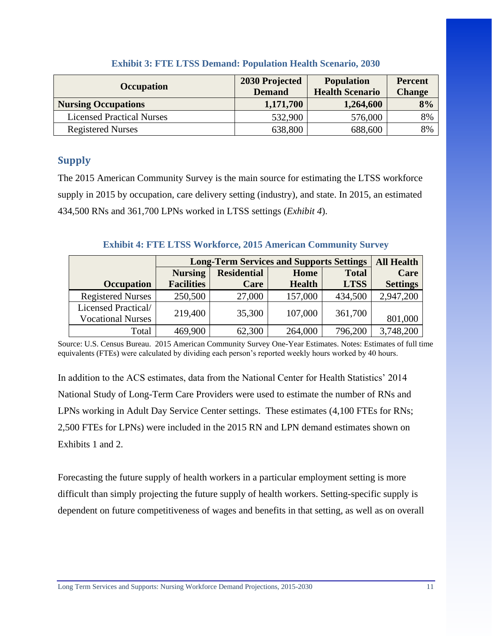<span id="page-11-0"></span>

| <b>Occupation</b>                | 2030 Projected<br><b>Demand</b> | <b>Population</b><br><b>Health Scenario</b> | <b>Percent</b><br><b>Change</b> |
|----------------------------------|---------------------------------|---------------------------------------------|---------------------------------|
| <b>Nursing Occupations</b>       | 1,171,700                       | 1,264,600                                   | 8%                              |
| <b>Licensed Practical Nurses</b> | 532,900                         | 576,000                                     | 8%                              |
| <b>Registered Nurses</b>         | 638,800                         | 688,600                                     | 8%                              |

#### **Exhibit 3: FTE LTSS Demand: Population Health Scenario, 2030**

### **Supply**

The 2015 American Community Survey is the main source for estimating the LTSS workforce supply in 2015 by occupation, care delivery setting (industry), and state. In 2015, an estimated 434,500 RNs and 361,700 LPNs worked in LTSS settings (*Exhibit 4*).

#### **Exhibit 4: FTE LTSS Workforce, 2015 American Community Survey**

<span id="page-11-1"></span>

|                                                 | <b>Long-Term Services and Supports Settings</b> | <b>All Health</b>  |               |              |                 |
|-------------------------------------------------|-------------------------------------------------|--------------------|---------------|--------------|-----------------|
|                                                 | <b>Nursing</b>                                  | <b>Residential</b> | Home          | <b>Total</b> | Care            |
| <b>Occupation</b>                               | <b>Facilities</b>                               | Care               | <b>Health</b> | <b>LTSS</b>  | <b>Settings</b> |
| <b>Registered Nurses</b>                        | 250,500                                         | 27,000             | 157,000       | 434,500      | 2,947,200       |
| Licensed Practical/<br><b>Vocational Nurses</b> | 219,400                                         | 35,300             | 107,000       | 361,700      | 801,000         |
| Total                                           | 469,900                                         | 62,300             | 264,000       | 796,200      | 3,748,200       |

Source: U.S. Census Bureau. 2015 American Community Survey One-Year Estimates. Notes: Estimates of full time equivalents (FTEs) were calculated by dividing each person's reported weekly hours worked by 40 hours.

In addition to the ACS estimates, data from the National Center for Health Statistics' 2014 National Study of Long-Term Care Providers were used to estimate the number of RNs and LPNs working in Adult Day Service Center settings. These estimates (4,100 FTEs for RNs; 2,500 FTEs for LPNs) were included in the 2015 RN and LPN demand estimates shown on Exhibits 1 and 2.

Forecasting the future supply of health workers in a particular employment setting is more difficult than simply projecting the future supply of health workers. Setting-specific supply is dependent on future competitiveness of wages and benefits in that setting, as well as on overall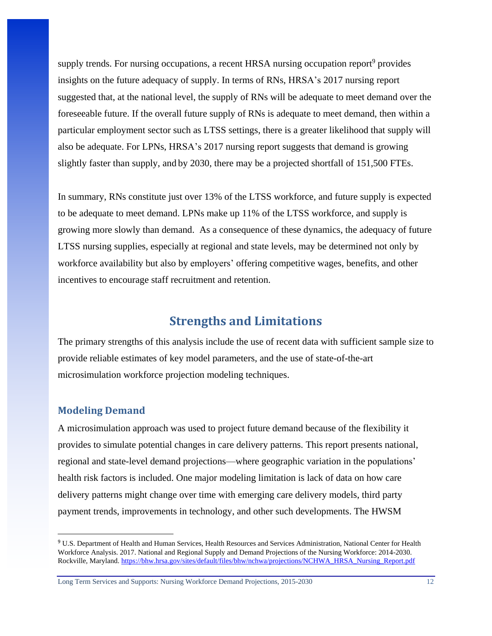supply trends. For nursing occupations, a recent HRSA nursing occupation report<sup>9</sup> provides insights on the future adequacy of supply. In terms of RNs, HRSA's 2017 nursing report suggested that, at the national level, the supply of RNs will be adequate to meet demand over the foreseeable future. If the overall future supply of RNs is adequate to meet demand, then within a particular employment sector such as LTSS settings, there is a greater likelihood that supply will also be adequate. For LPNs, HRSA's 2017 nursing report suggests that demand is growing slightly faster than supply, and by 2030, there may be a projected shortfall of 151,500 FTEs.

In summary, RNs constitute just over 13% of the LTSS workforce, and future supply is expected to be adequate to meet demand. LPNs make up 11% of the LTSS workforce, and supply is growing more slowly than demand. As a consequence of these dynamics, the adequacy of future LTSS nursing supplies, especially at regional and state levels, may be determined not only by workforce availability but also by employers' offering competitive wages, benefits, and other incentives to encourage staff recruitment and retention.

## **Strengths and Limitations**

<span id="page-12-0"></span>The primary strengths of this analysis include the use of recent data with sufficient sample size to provide reliable estimates of key model parameters, and the use of state-of-the-art microsimulation workforce projection modeling techniques.

#### <span id="page-12-1"></span>**Modeling Demand**

 $\overline{\phantom{a}}$ 

A microsimulation approach was used to project future demand because of the flexibility it provides to simulate potential changes in care delivery patterns. This report presents national, regional and state-level demand projections—where geographic variation in the populations' health risk factors is included. One major modeling limitation is lack of data on how care delivery patterns might change over time with emerging care delivery models, third party payment trends, improvements in technology, and other such developments. The HWSM

<sup>9</sup> U.S. Department of Health and Human Services, Health Resources and Services Administration, National Center for Health Workforce Analysis. 2017. National and Regional Supply and Demand Projections of the Nursing Workforce: 2014-2030. Rockville, Maryland. [https://bhw.hrsa.gov/sites/default/files/bhw/nchwa/projections/NCHWA\\_HRSA\\_Nursing\\_Report.pdf](https://bhw.hrsa.gov/sites/default/files/bhw/nchwa/projections/NCHWA_HRSA_Nursing_Report.pdf)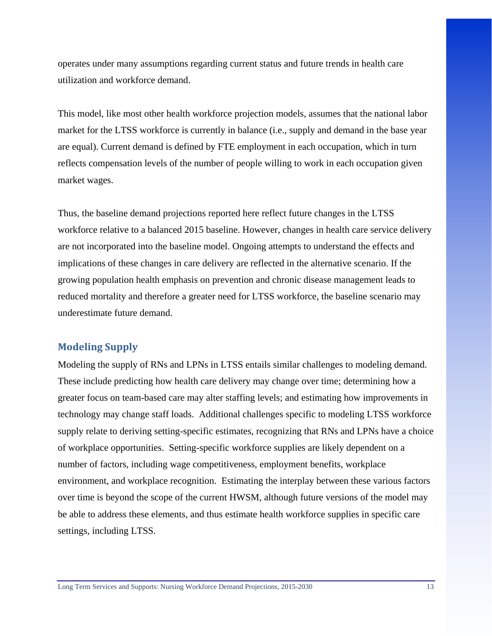operates under many assumptions regarding current status and future trends in health care utilization and workforce demand.

This model, like most other health workforce projection models, assumes that the national labor market for the LTSS workforce is currently in balance (i.e., supply and demand in the base year are equal). Current demand is defined by FTE employment in each occupation, which in turn reflects compensation levels of the number of people willing to work in each occupation given market wages.

Thus, the baseline demand projections reported here reflect future changes in the LTSS workforce relative to a balanced 2015 baseline. However, changes in health care service delivery are not incorporated into the baseline model. Ongoing attempts to understand the effects and implications of these changes in care delivery are reflected in the alternative scenario. If the growing population health emphasis on prevention and chronic disease management leads to reduced mortality and therefore a greater need for LTSS workforce, the baseline scenario may underestimate future demand.

#### <span id="page-13-0"></span>**Modeling Supply**

Modeling the supply of RNs and LPNs in LTSS entails similar challenges to modeling demand. These include predicting how health care delivery may change over time; determining how a greater focus on team-based care may alter staffing levels; and estimating how improvements in technology may change staff loads. Additional challenges specific to modeling LTSS workforce supply relate to deriving setting-specific estimates, recognizing that RNs and LPNs have a choice of workplace opportunities. Setting-specific workforce supplies are likely dependent on a number of factors, including wage competitiveness, employment benefits, workplace environment, and workplace recognition. Estimating the interplay between these various factors over time is beyond the scope of the current HWSM, although future versions of the model may be able to address these elements, and thus estimate health workforce supplies in specific care settings, including LTSS.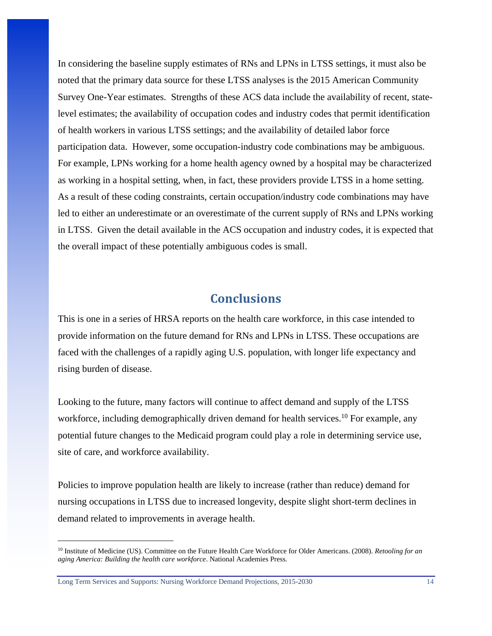In considering the baseline supply estimates of RNs and LPNs in LTSS settings, it must also be noted that the primary data source for these LTSS analyses is the 2015 American Community Survey One-Year estimates. Strengths of these ACS data include the availability of recent, statelevel estimates; the availability of occupation codes and industry codes that permit identification of health workers in various LTSS settings; and the availability of detailed labor force participation data. However, some occupation-industry code combinations may be ambiguous. For example, LPNs working for a home health agency owned by a hospital may be characterized as working in a hospital setting, when, in fact, these providers provide LTSS in a home setting. As a result of these coding constraints, certain occupation/industry code combinations may have led to either an underestimate or an overestimate of the current supply of RNs and LPNs working in LTSS. Given the detail available in the ACS occupation and industry codes, it is expected that the overall impact of these potentially ambiguous codes is small.

## **Conclusions**

<span id="page-14-0"></span>This is one in a series of HRSA reports on the health care workforce, in this case intended to provide information on the future demand for RNs and LPNs in LTSS. These occupations are faced with the challenges of a rapidly aging U.S. population, with longer life expectancy and rising burden of disease.

Looking to the future, many factors will continue to affect demand and supply of the LTSS workforce, including demographically driven demand for health services.<sup>10</sup> For example, any potential future changes to the Medicaid program could play a role in determining service use, site of care, and workforce availability.

Policies to improve population health are likely to increase (rather than reduce) demand for nursing occupations in LTSS due to increased longevity, despite slight short-term declines in demand related to improvements in average health.

Long Term Services and Supports: Nursing Workforce Demand Projections, 2015-2030 14

 $\overline{\phantom{a}}$ 

<sup>10</sup> Institute of Medicine (US). Committee on the Future Health Care Workforce for Older Americans. (2008). *Retooling for an aging America: Building the health care workforce*. National Academies Press.